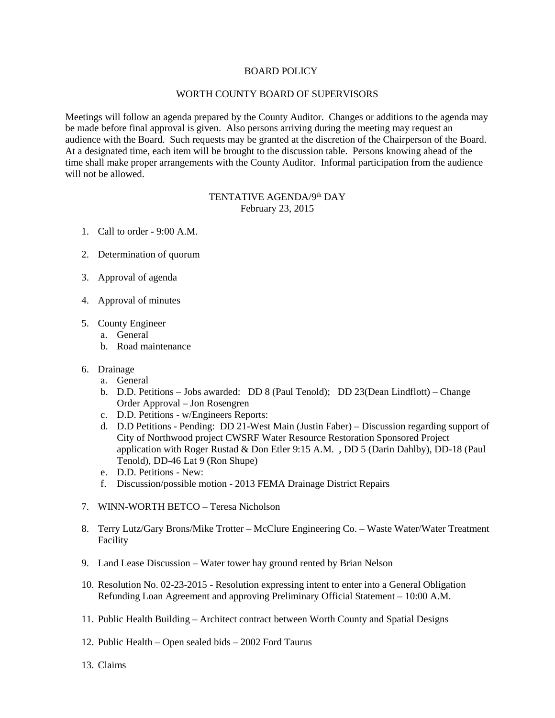## BOARD POLICY

## WORTH COUNTY BOARD OF SUPERVISORS

Meetings will follow an agenda prepared by the County Auditor. Changes or additions to the agenda may be made before final approval is given. Also persons arriving during the meeting may request an audience with the Board. Such requests may be granted at the discretion of the Chairperson of the Board. At a designated time, each item will be brought to the discussion table. Persons knowing ahead of the time shall make proper arrangements with the County Auditor. Informal participation from the audience will not be allowed.

## TENTATIVE AGENDA/9th DAY February 23, 2015

- 1. Call to order 9:00 A.M.
- 2. Determination of quorum
- 3. Approval of agenda
- 4. Approval of minutes
- 5. County Engineer
	- a. General
	- b. Road maintenance
- 6. Drainage
	- a. General
	- b. D.D. Petitions Jobs awarded: DD 8 (Paul Tenold); DD 23(Dean Lindflott) Change Order Approval – Jon Rosengren
	- c. D.D. Petitions w/Engineers Reports:
	- d. D.D Petitions Pending: DD 21-West Main (Justin Faber) Discussion regarding support of City of Northwood project CWSRF Water Resource Restoration Sponsored Project application with Roger Rustad & Don Etler 9:15 A.M. , DD 5 (Darin Dahlby), DD-18 (Paul Tenold), DD-46 Lat 9 (Ron Shupe)
	- e. D.D. Petitions New:
	- f. Discussion/possible motion 2013 FEMA Drainage District Repairs
- 7. WINN-WORTH BETCO Teresa Nicholson
- 8. Terry Lutz/Gary Brons/Mike Trotter McClure Engineering Co. Waste Water/Water Treatment Facility
- 9. Land Lease Discussion Water tower hay ground rented by Brian Nelson
- 10. Resolution No. 02-23-2015 Resolution expressing intent to enter into a General Obligation Refunding Loan Agreement and approving Preliminary Official Statement – 10:00 A.M.
- 11. Public Health Building Architect contract between Worth County and Spatial Designs
- 12. Public Health Open sealed bids 2002 Ford Taurus
- 13. Claims